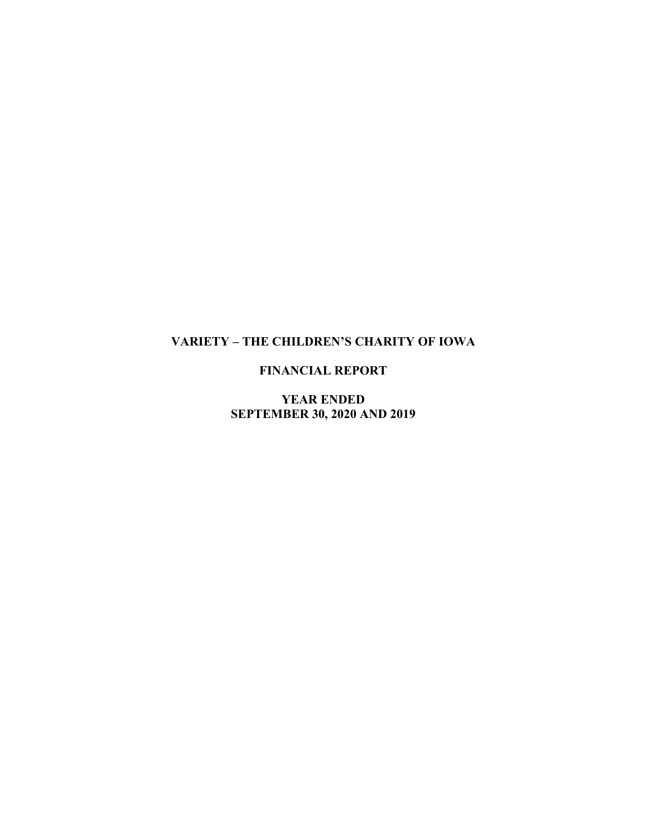# **VARIETY – THE CHILDREN'S CHARITY OF IOWA**

# **FINANCIAL REPORT**

**YEAR ENDED SEPTEMBER 30, 2020 AND 2019**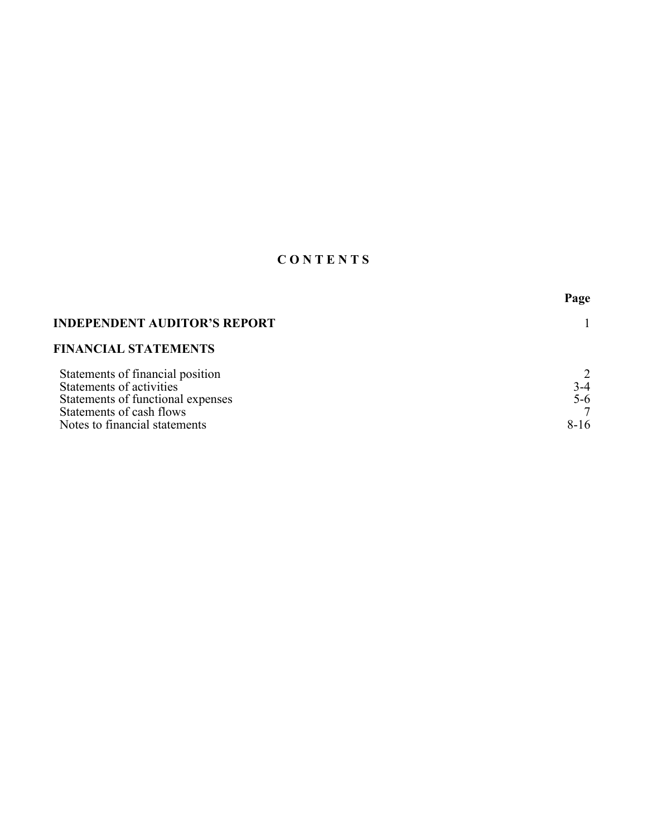# **C O N T E N T S**

|                                     | Page   |
|-------------------------------------|--------|
| <b>INDEPENDENT AUDITOR'S REPORT</b> |        |
| <b>FINANCIAL STATEMENTS</b>         |        |
| Statements of financial position    |        |
| Statements of activities            | $3-4$  |
| Statements of functional expenses   | $5-6$  |
| Statements of cash flows            |        |
| Notes to financial statements       | $8-16$ |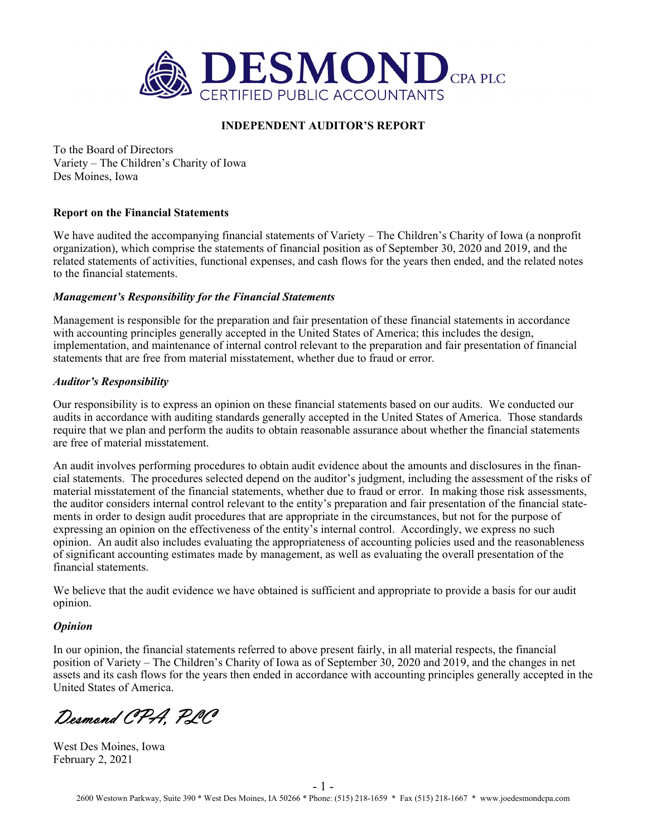

### **INDEPENDENT AUDITOR'S REPORT**

To the Board of Directors Variety – The Children's Charity of Iowa Des Moines, Iowa

#### **Report on the Financial Statements**

We have audited the accompanying financial statements of Variety – The Children's Charity of Iowa (a nonprofit organization), which comprise the statements of financial position as of September 30, 2020 and 2019, and the related statements of activities, functional expenses, and cash flows for the years then ended, and the related notes to the financial statements.

#### *Management's Responsibility for the Financial Statements*

Management is responsible for the preparation and fair presentation of these financial statements in accordance with accounting principles generally accepted in the United States of America; this includes the design, implementation, and maintenance of internal control relevant to the preparation and fair presentation of financial statements that are free from material misstatement, whether due to fraud or error.

#### *Auditor's Responsibility*

Our responsibility is to express an opinion on these financial statements based on our audits. We conducted our audits in accordance with auditing standards generally accepted in the United States of America. Those standards require that we plan and perform the audits to obtain reasonable assurance about whether the financial statements are free of material misstatement.

An audit involves performing procedures to obtain audit evidence about the amounts and disclosures in the financial statements. The procedures selected depend on the auditor's judgment, including the assessment of the risks of material misstatement of the financial statements, whether due to fraud or error. In making those risk assessments, the auditor considers internal control relevant to the entity's preparation and fair presentation of the financial statements in order to design audit procedures that are appropriate in the circumstances, but not for the purpose of expressing an opinion on the effectiveness of the entity's internal control. Accordingly, we express no such opinion. An audit also includes evaluating the appropriateness of accounting policies used and the reasonableness of significant accounting estimates made by management, as well as evaluating the overall presentation of the financial statements.

We believe that the audit evidence we have obtained is sufficient and appropriate to provide a basis for our audit opinion.

### *Opinion*

In our opinion, the financial statements referred to above present fairly, in all material respects, the financial position of Variety – The Children's Charity of Iowa as of September 30, 2020 and 2019, and the changes in net assets and its cash flows for the years then ended in accordance with accounting principles generally accepted in the United States of America.

Desmond CPA, PLC

West Des Moines, Iowa February 2, 2021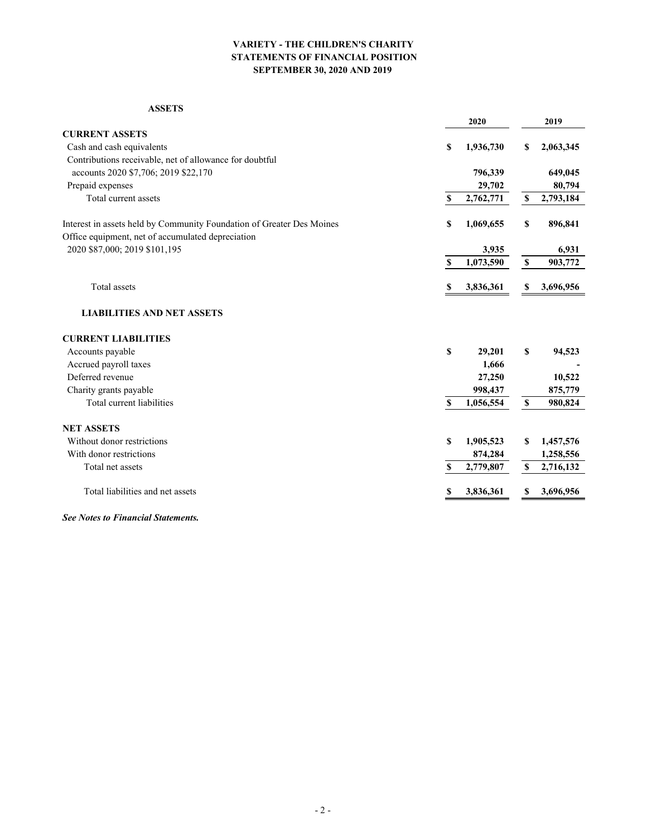#### **VARIETY - THE CHILDREN'S CHARITY STATEMENTS OF FINANCIAL POSITION SEPTEMBER 30, 2020 AND 2019**

#### **ASSETS**

|                                                                       | 2020         |           | 2019         |           |
|-----------------------------------------------------------------------|--------------|-----------|--------------|-----------|
| <b>CURRENT ASSETS</b>                                                 |              |           |              |           |
| Cash and cash equivalents                                             | S            | 1,936,730 | \$           | 2,063,345 |
| Contributions receivable, net of allowance for doubtful               |              |           |              |           |
| accounts 2020 \$7,706; 2019 \$22,170                                  |              | 796,339   |              | 649,045   |
| Prepaid expenses                                                      |              | 29,702    |              | 80,794    |
| Total current assets                                                  | S            | 2,762,771 | $\mathbf s$  | 2,793,184 |
| Interest in assets held by Community Foundation of Greater Des Moines | \$           | 1,069,655 | \$           | 896,841   |
| Office equipment, net of accumulated depreciation                     |              |           |              |           |
| 2020 \$87,000; 2019 \$101,195                                         |              | 3,935     |              | 6,931     |
|                                                                       | $\mathbf{s}$ | 1,073,590 | $\mathbf S$  | 903,772   |
| Total assets                                                          | S            | 3,836,361 | \$           | 3,696,956 |
| <b>LIABILITIES AND NET ASSETS</b>                                     |              |           |              |           |
| <b>CURRENT LIABILITIES</b>                                            |              |           |              |           |
| Accounts payable                                                      | \$           | 29,201    | \$           | 94,523    |
| Accrued payroll taxes                                                 |              | 1,666     |              |           |
| Deferred revenue                                                      |              | 27,250    |              | 10,522    |
| Charity grants payable                                                |              | 998,437   |              | 875,779   |
| Total current liabilities                                             | $\mathbf{s}$ | 1,056,554 | $\mathbf s$  | 980,824   |
| <b>NET ASSETS</b>                                                     |              |           |              |           |
| Without donor restrictions                                            | S            | 1,905,523 | \$           | 1,457,576 |
| With donor restrictions                                               |              | 874,284   |              | 1,258,556 |
| Total net assets                                                      | $\mathbf{s}$ | 2,779,807 | $\mathbf{s}$ | 2,716,132 |
| Total liabilities and net assets                                      | S            | 3,836,361 | S            | 3,696,956 |
| <b>See Notes to Financial Statements.</b>                             |              |           |              |           |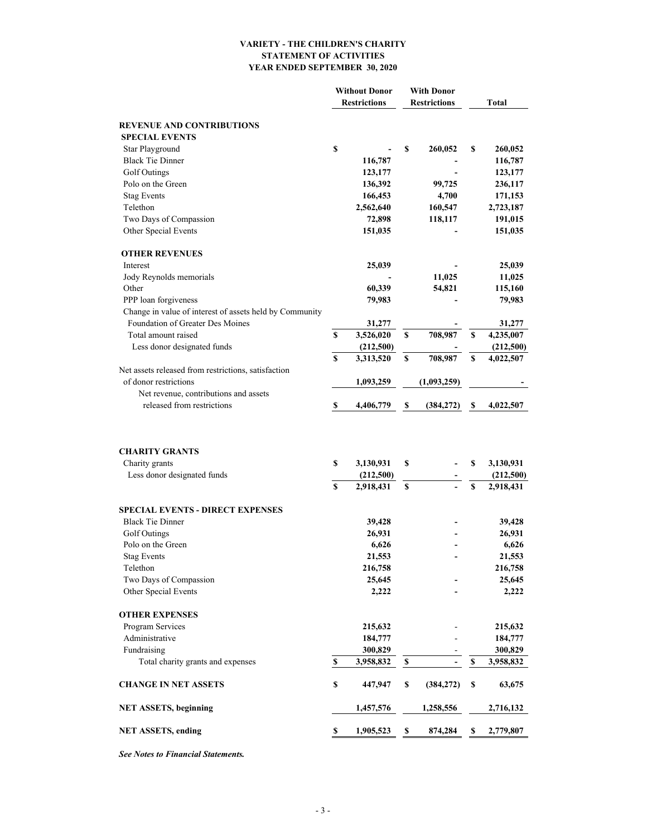#### **VARIETY - THE CHILDREN'S CHARITY STATEMENT OF ACTIVITIES YEAR ENDED SEPTEMBER 30, 2020**

|                                                         |    | <b>Without Donor</b><br><b>Restrictions</b> |    | <b>With Donor</b><br><b>Restrictions</b> |             | <b>Total</b> |
|---------------------------------------------------------|----|---------------------------------------------|----|------------------------------------------|-------------|--------------|
| <b>REVENUE AND CONTRIBUTIONS</b>                        |    |                                             |    |                                          |             |              |
| <b>SPECIAL EVENTS</b>                                   |    |                                             |    |                                          |             |              |
| Star Playground                                         | \$ |                                             | \$ | 260,052                                  | S           | 260,052      |
| <b>Black Tie Dinner</b>                                 |    | 116,787                                     |    |                                          |             | 116,787      |
| Golf Outings                                            |    | 123,177                                     |    |                                          |             | 123,177      |
| Polo on the Green                                       |    | 136,392                                     |    | 99,725                                   |             | 236,117      |
| <b>Stag Events</b>                                      |    | 166,453                                     |    | 4,700                                    |             | 171,153      |
| Telethon                                                |    | 2,562,640                                   |    | 160,547                                  |             | 2,723,187    |
| Two Days of Compassion                                  |    | 72,898                                      |    | 118,117                                  |             | 191,015      |
| Other Special Events                                    |    | 151,035                                     |    |                                          |             | 151,035      |
| <b>OTHER REVENUES</b>                                   |    |                                             |    |                                          |             |              |
| Interest                                                |    | 25,039                                      |    |                                          |             | 25,039       |
| Jody Reynolds memorials                                 |    |                                             |    | 11,025                                   |             | 11,025       |
| Other                                                   |    | 60,339                                      |    | 54,821                                   |             | 115,160      |
| PPP loan forgiveness                                    |    | 79,983                                      |    |                                          |             | 79,983       |
| Change in value of interest of assets held by Community |    |                                             |    |                                          |             |              |
| Foundation of Greater Des Moines                        |    | 31,277                                      |    |                                          |             | 31,277       |
| Total amount raised                                     | \$ | 3,526,020                                   | \$ | 708,987                                  | \$          | 4,235,007    |
| Less donor designated funds                             |    | (212,500)                                   |    |                                          |             | (212,500)    |
|                                                         | S  | 3,313,520                                   | \$ | 708,987                                  | \$          | 4,022,507    |
| Net assets released from restrictions, satisfaction     |    |                                             |    |                                          |             |              |
| of donor restrictions                                   |    | 1,093,259                                   |    | (1,093,259)                              |             |              |
| Net revenue, contributions and assets                   |    |                                             |    |                                          |             |              |
| released from restrictions                              | \$ | 4,406,779                                   | \$ | (384, 272)                               | S           | 4,022,507    |
| <b>CHARITY GRANTS</b>                                   |    |                                             |    |                                          |             |              |
| Charity grants                                          | S  | 3,130,931                                   | \$ |                                          | \$          | 3,130,931    |
| Less donor designated funds                             |    | (212,500)                                   |    |                                          |             | (212,500)    |
|                                                         | S  | 2,918,431                                   | \$ |                                          | \$          | 2,918,431    |
| <b>SPECIAL EVENTS - DIRECT EXPENSES</b>                 |    |                                             |    |                                          |             |              |
| <b>Black Tie Dinner</b>                                 |    | 39,428                                      |    |                                          |             | 39,428       |
| Golf Outings                                            |    | 26,931                                      |    |                                          |             | 26,931       |
| Polo on the Green                                       |    | 6,626                                       |    |                                          |             | 6,626        |
| <b>Stag Events</b>                                      |    | 21,553                                      |    |                                          |             | 21,553       |
| Telethon                                                |    | 216,758                                     |    |                                          |             | 216,758      |
| Two Days of Compassion                                  |    | 25,645                                      |    |                                          |             | 25,645       |
| Other Special Events                                    |    | 2,222                                       |    |                                          |             | 2,222        |
| <b>OTHER EXPENSES</b>                                   |    |                                             |    |                                          |             |              |
| Program Services                                        |    | 215,632                                     |    |                                          |             | 215,632      |
| Administrative                                          |    | 184,777                                     |    |                                          |             | 184,777      |
| Fundraising                                             |    | 300,829                                     |    |                                          |             | 300,829      |
| Total charity grants and expenses                       | \$ | 3,958,832                                   | S  |                                          | $\mathbb S$ | 3,958,832    |
| <b>CHANGE IN NET ASSETS</b>                             | \$ | 447,947                                     | \$ | (384, 272)                               | \$          | 63,675       |
| <b>NET ASSETS, beginning</b>                            |    | 1,457,576                                   |    | 1,258,556                                |             | 2,716,132    |
| <b>NET ASSETS, ending</b>                               | \$ | 1,905,523                                   | \$ | 874,284                                  | S           | 2,779,807    |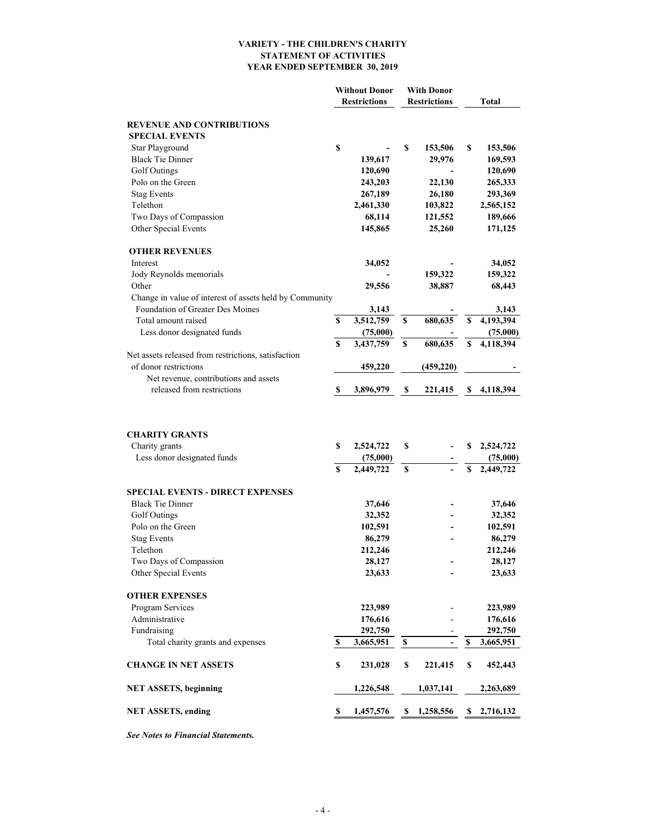#### **VARIETY - THE CHILDREN'S CHARITY STATEMENT OF ACTIVITIES YEAR ENDED SEPTEMBER 30, 2019**

|                                                         |    | <b>Without Donor</b><br><b>Restrictions</b> |    | <b>With Donor</b><br><b>Restrictions</b> | Total |           |  |
|---------------------------------------------------------|----|---------------------------------------------|----|------------------------------------------|-------|-----------|--|
| <b>REVENUE AND CONTRIBUTIONS</b>                        |    |                                             |    |                                          |       |           |  |
| <b>SPECIAL EVENTS</b>                                   |    |                                             |    |                                          |       |           |  |
| Star Playground                                         | \$ |                                             | \$ | 153,506                                  | \$    | 153,506   |  |
| <b>Black Tie Dinner</b>                                 |    | 139,617                                     |    | 29,976                                   |       | 169,593   |  |
| Golf Outings                                            |    | 120,690                                     |    |                                          |       | 120,690   |  |
| Polo on the Green                                       |    | 243,203                                     |    | 22,130                                   |       | 265,333   |  |
| <b>Stag Events</b>                                      |    | 267,189                                     |    | 26,180                                   |       | 293,369   |  |
| Telethon                                                |    | 2,461,330                                   |    | 103,822                                  |       | 2,565,152 |  |
| Two Days of Compassion                                  |    | 68,114                                      |    | 121,552                                  |       | 189,666   |  |
| Other Special Events                                    |    | 145,865                                     |    | 25,260                                   |       | 171,125   |  |
| <b>OTHER REVENUES</b>                                   |    |                                             |    |                                          |       |           |  |
| Interest                                                |    | 34,052                                      |    |                                          |       | 34,052    |  |
| Jody Reynolds memorials                                 |    |                                             |    | 159,322                                  |       | 159,322   |  |
| Other                                                   |    | 29,556                                      |    | 38,887                                   |       | 68,443    |  |
| Change in value of interest of assets held by Community |    |                                             |    |                                          |       |           |  |
| Foundation of Greater Des Moines                        |    | 3,143                                       |    |                                          |       | 3,143     |  |
| Total amount raised                                     | S  | 3,512,759                                   | S  | 680,635                                  | S     | 4,193,394 |  |
| Less donor designated funds                             |    | (75,000)                                    |    |                                          |       | (75,000)  |  |
|                                                         | S  | 3,437,759                                   | \$ | 680,635                                  | S     | 4,118,394 |  |
| Net assets released from restrictions, satisfaction     |    |                                             |    |                                          |       |           |  |
| of donor restrictions                                   |    | 459,220                                     |    | (459, 220)                               |       |           |  |
| Net revenue, contributions and assets                   |    |                                             |    |                                          |       |           |  |
| released from restrictions                              | S  | 3,896,979                                   | \$ | 221,415                                  | S     | 4,118,394 |  |
| <b>CHARITY GRANTS</b>                                   |    |                                             |    |                                          |       |           |  |
| Charity grants                                          | S  | 2,524,722                                   | \$ |                                          | S     | 2,524,722 |  |
| Less donor designated funds                             | \$ | (75,000)<br>2,449,722                       | \$ |                                          | \$    | (75,000)  |  |
|                                                         |    |                                             |    |                                          |       | 2,449,722 |  |
| <b>SPECIAL EVENTS - DIRECT EXPENSES</b>                 |    |                                             |    |                                          |       |           |  |
| <b>Black Tie Dinner</b>                                 |    | 37,646                                      |    |                                          |       | 37,646    |  |
| Golf Outings                                            |    | 32,352                                      |    |                                          |       | 32,352    |  |
| Polo on the Green                                       |    | 102,591                                     |    |                                          |       | 102,591   |  |
| <b>Stag Events</b>                                      |    | 86,279                                      |    |                                          |       | 86,279    |  |
| Telethon                                                |    | 212,246                                     |    |                                          |       | 212,246   |  |
| Two Days of Compassion                                  |    | 28,127                                      |    |                                          |       | 28,127    |  |
| Other Special Events                                    |    | 23,633                                      |    |                                          |       | 23,633    |  |
| <b>OTHER EXPENSES</b>                                   |    |                                             |    |                                          |       |           |  |
| Program Services                                        |    | 223,989                                     |    |                                          |       | 223,989   |  |
| Administrative                                          |    | 176,616                                     |    |                                          |       | 176,616   |  |
| Fundraising                                             |    | 292,750                                     |    |                                          |       | 292,750   |  |
| Total charity grants and expenses                       | \$ | 3,665,951                                   | \$ |                                          | \$    | 3,665,951 |  |
|                                                         |    |                                             |    |                                          |       |           |  |
| <b>CHANGE IN NET ASSETS</b>                             | \$ | 231,028                                     | \$ | 221,415                                  | \$    | 452,443   |  |
| <b>NET ASSETS, beginning</b>                            |    | 1,226,548                                   |    | 1,037,141                                |       | 2,263,689 |  |
| <b>NET ASSETS, ending</b>                               | \$ | 1,457,576                                   | S  | 1,258,556                                | S     | 2,716,132 |  |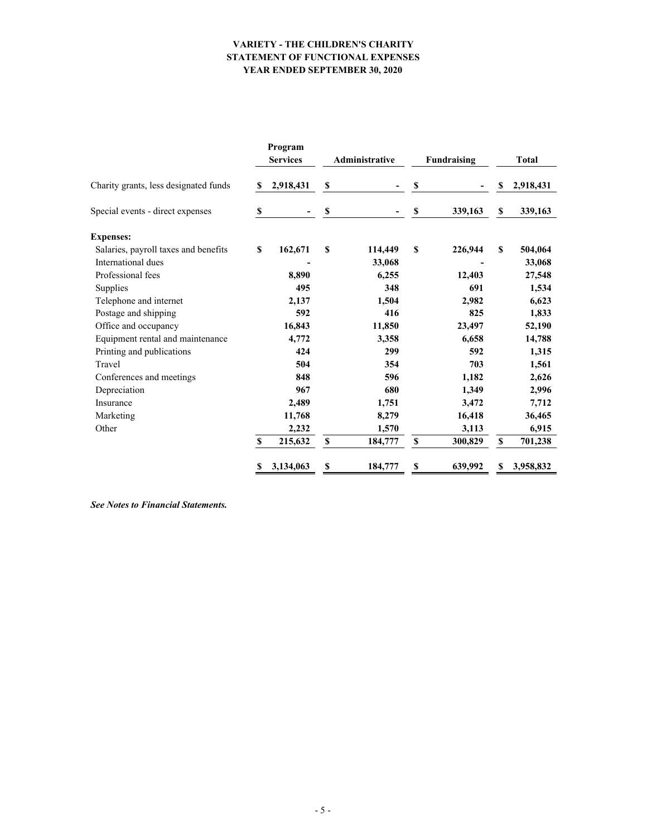#### **VARIETY - THE CHILDREN'S CHARITY STATEMENT OF FUNCTIONAL EXPENSES YEAR ENDED SEPTEMBER 30, 2020**

|                                       |    | Program<br><b>Services</b> |             | Administrative |                  | Fundraising |    | <b>Total</b> |
|---------------------------------------|----|----------------------------|-------------|----------------|------------------|-------------|----|--------------|
| Charity grants, less designated funds | S  | 2,918,431                  | \$          |                | \$               |             | S  | 2,918,431    |
| Special events - direct expenses      | \$ |                            | \$          |                | $\boldsymbol{s}$ | 339,163     | S  | 339,163      |
| <b>Expenses:</b>                      |    |                            |             |                |                  |             |    |              |
| Salaries, payroll taxes and benefits  | \$ | 162,671                    | \$          | 114,449        | \$               | 226,944     | S  | 504,064      |
| International dues                    |    |                            |             | 33,068         |                  |             |    | 33,068       |
| Professional fees                     |    | 8,890                      |             | 6,255          |                  | 12,403      |    | 27,548       |
| Supplies                              |    | 495                        |             | 348            |                  | 691         |    | 1,534        |
| Telephone and internet                |    | 2,137                      |             | 1,504          |                  | 2,982       |    | 6,623        |
| Postage and shipping                  |    | 592                        |             | 416            |                  | 825         |    | 1,833        |
| Office and occupancy                  |    | 16,843                     |             | 11,850         |                  | 23,497      |    | 52,190       |
| Equipment rental and maintenance      |    | 4,772                      |             | 3,358          |                  | 6,658       |    | 14,788       |
| Printing and publications             |    | 424                        |             | 299            |                  | 592         |    | 1,315        |
| Travel                                |    | 504                        |             | 354            |                  | 703         |    | 1,561        |
| Conferences and meetings              |    | 848                        |             | 596            |                  | 1,182       |    | 2,626        |
| Depreciation                          |    | 967                        |             | 680            |                  | 1,349       |    | 2,996        |
| Insurance                             |    | 2,489                      |             | 1,751          |                  | 3,472       |    | 7,712        |
| Marketing                             |    | 11,768                     |             | 8,279          |                  | 16,418      |    | 36,465       |
| Other                                 |    | 2,232                      |             | 1,570          |                  | 3,113       |    | 6,915        |
|                                       | \$ | 215,632                    | $\mathbb S$ | 184,777        | $\mathbb S$      | 300,829     | \$ | 701,238      |
|                                       | \$ | 3,134,063                  | \$          | 184,777        | \$               | 639,992     | \$ | 3,958,832    |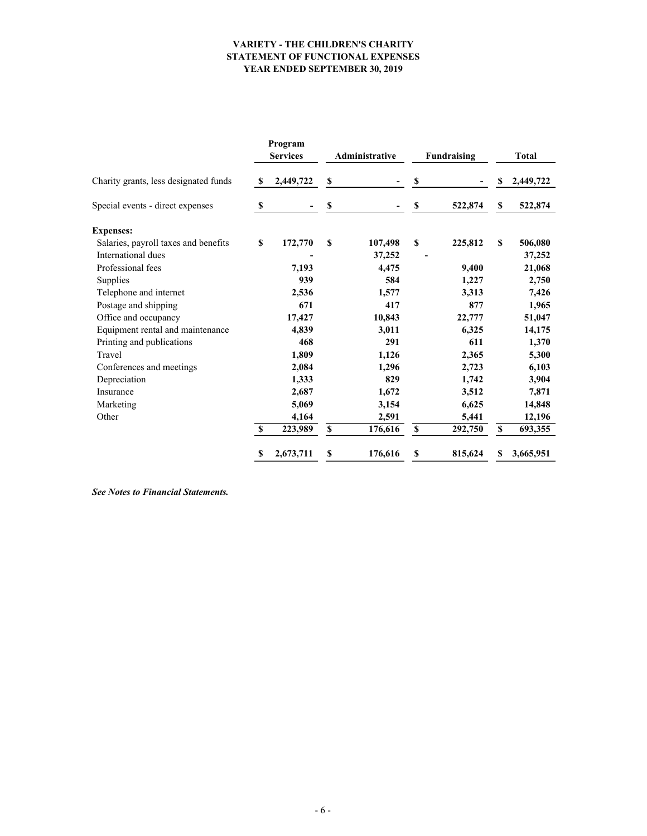#### **VARIETY - THE CHILDREN'S CHARITY STATEMENT OF FUNCTIONAL EXPENSES YEAR ENDED SEPTEMBER 30, 2019**

|                                       |               | Program<br><b>Services</b> |             | Administrative |                           | Fundraising |             | <b>Total</b> |
|---------------------------------------|---------------|----------------------------|-------------|----------------|---------------------------|-------------|-------------|--------------|
| Charity grants, less designated funds | S             | 2,449,722                  | \$          |                | \$                        |             |             | 2,449,722    |
| Special events - direct expenses      | <sup>\$</sup> |                            | $\mathbb S$ |                | $\mathbb S$               | 522,874     | S           | 522,874      |
| <b>Expenses:</b>                      |               |                            |             |                |                           |             |             |              |
| Salaries, payroll taxes and benefits  | \$            | 172,770                    | \$          | 107,498        | $\boldsymbol{\mathsf{s}}$ | 225,812     | $\mathbf S$ | 506,080      |
| International dues                    |               |                            |             | 37,252         |                           |             |             | 37,252       |
| Professional fees                     |               | 7,193                      |             | 4,475          |                           | 9,400       |             | 21,068       |
| Supplies                              |               | 939                        |             | 584            |                           | 1,227       |             | 2,750        |
| Telephone and internet                |               | 2,536                      |             | 1,577          |                           | 3,313       |             | 7,426        |
| Postage and shipping                  |               | 671                        |             | 417            |                           | 877         |             | 1,965        |
| Office and occupancy                  |               | 17,427                     |             | 10,843         |                           | 22,777      |             | 51,047       |
| Equipment rental and maintenance      |               | 4,839                      |             | 3,011          |                           | 6,325       |             | 14,175       |
| Printing and publications             |               | 468                        |             | 291            |                           | 611         |             | 1,370        |
| Travel                                |               | 1,809                      |             | 1,126          |                           | 2,365       |             | 5,300        |
| Conferences and meetings              |               | 2,084                      |             | 1,296          |                           | 2,723       |             | 6,103        |
| Depreciation                          |               | 1,333                      |             | 829            |                           | 1,742       |             | 3,904        |
| Insurance                             |               | 2,687                      |             | 1,672          |                           | 3,512       |             | 7,871        |
| Marketing                             |               | 5,069                      |             | 3,154          |                           | 6,625       |             | 14,848       |
| Other                                 |               | 4,164                      |             | 2,591          |                           | 5,441       |             | 12,196       |
|                                       | $\mathbf{s}$  | 223,989                    | $\mathbf S$ | 176,616        | <b>S</b>                  | 292,750     | $\mathbf S$ | 693,355      |
|                                       | S             | 2,673,711                  | \$          | 176,616        | \$                        | 815,624     | \$.         | 3,665,951    |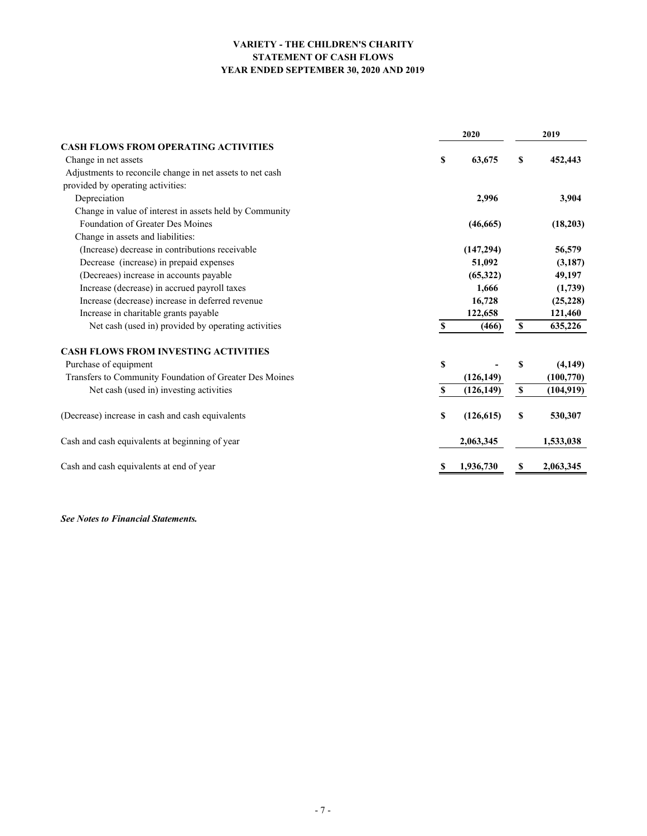### **VARIETY - THE CHILDREN'S CHARITY STATEMENT OF CASH FLOWS YEAR ENDED SEPTEMBER 30, 2020 AND 2019**

|                                                           | 2020 |            |             | 2019       |  |
|-----------------------------------------------------------|------|------------|-------------|------------|--|
| <b>CASH FLOWS FROM OPERATING ACTIVITIES</b>               |      |            |             |            |  |
| Change in net assets                                      | \$   | 63,675     | \$          | 452,443    |  |
| Adjustments to reconcile change in net assets to net cash |      |            |             |            |  |
| provided by operating activities:                         |      |            |             |            |  |
| Depreciation                                              |      | 2,996      |             | 3,904      |  |
| Change in value of interest in assets held by Community   |      |            |             |            |  |
| Foundation of Greater Des Moines                          |      | (46, 665)  |             | (18,203)   |  |
| Change in assets and liabilities:                         |      |            |             |            |  |
| (Increase) decrease in contributions receivable           |      | (147, 294) |             | 56,579     |  |
| Decrease (increase) in prepaid expenses                   |      | 51,092     |             | (3,187)    |  |
| (Decreaes) increase in accounts payable                   |      | (65,322)   |             | 49,197     |  |
| Increase (decrease) in accrued payroll taxes              |      | 1,666      |             | (1,739)    |  |
| Increase (decrease) increase in deferred revenue          |      | 16,728     |             | (25, 228)  |  |
| Increase in charitable grants payable                     |      | 122,658    |             | 121,460    |  |
| Net cash (used in) provided by operating activities       | \$   | (466)      | S           | 635,226    |  |
| <b>CASH FLOWS FROM INVESTING ACTIVITIES</b>               |      |            |             |            |  |
| Purchase of equipment                                     | \$   |            | S           | (4,149)    |  |
| Transfers to Community Foundation of Greater Des Moines   |      | (126, 149) |             | (100, 770) |  |
| Net cash (used in) investing activities                   | \$   | (126, 149) | $\mathbf S$ | (104, 919) |  |
| (Decrease) increase in cash and cash equivalents          | \$   | (126, 615) | \$          | 530,307    |  |
| Cash and cash equivalents at beginning of year            |      | 2,063,345  |             | 1,533,038  |  |
| Cash and cash equivalents at end of year                  | S    | 1,936,730  | S           | 2,063,345  |  |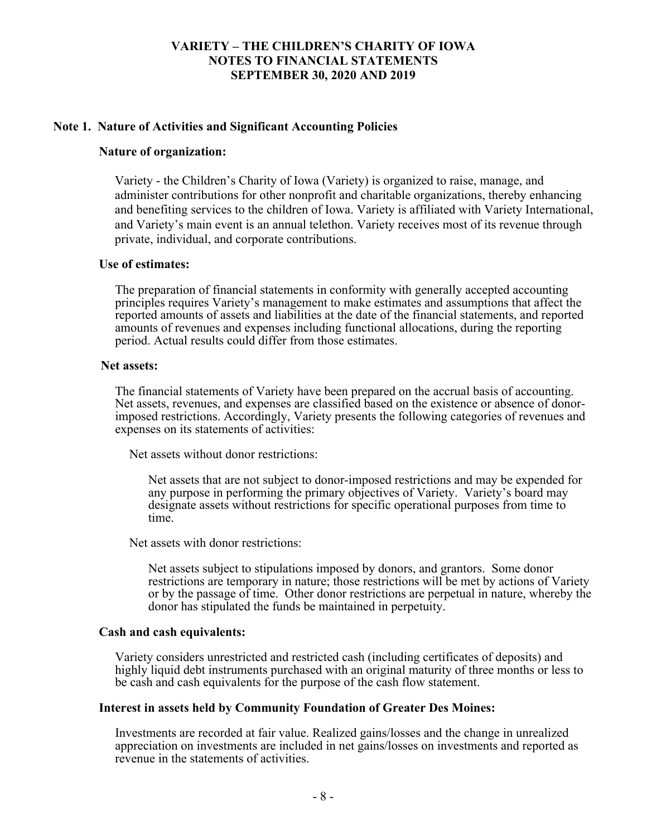### **Note 1. Nature of Activities and Significant Accounting Policies**

### **Nature of organization:**

Variety - the Children's Charity of Iowa (Variety) is organized to raise, manage, and administer contributions for other nonprofit and charitable organizations, thereby enhancing and benefiting services to the children of Iowa. Variety is affiliated with Variety International, and Variety's main event is an annual telethon. Variety receives most of its revenue through private, individual, and corporate contributions.

### **Use of estimates:**

The preparation of financial statements in conformity with generally accepted accounting principles requires Variety's management to make estimates and assumptions that affect the reported amounts of assets and liabilities at the date of the financial statements, and reported amounts of revenues and expenses including functional allocations, during the reporting period. Actual results could differ from those estimates.

### **Net assets:**

The financial statements of Variety have been prepared on the accrual basis of accounting. Net assets, revenues, and expenses are classified based on the existence or absence of donorimposed restrictions. Accordingly, Variety presents the following categories of revenues and expenses on its statements of activities:

Net assets without donor restrictions:

Net assets that are not subject to donor-imposed restrictions and may be expended for any purpose in performing the primary objectives of Variety. Variety's board may designate assets without restrictions for specific operational purposes from time to time.

Net assets with donor restrictions:

Net assets subject to stipulations imposed by donors, and grantors. Some donor restrictions are temporary in nature; those restrictions will be met by actions of Variety or by the passage of time. Other donor restrictions are perpetual in nature, whereby the donor has stipulated the funds be maintained in perpetuity.

### **Cash and cash equivalents:**

Variety considers unrestricted and restricted cash (including certificates of deposits) and highly liquid debt instruments purchased with an original maturity of three months or less to be cash and cash equivalents for the purpose of the cash flow statement.

### **Interest in assets held by Community Foundation of Greater Des Moines:**

Investments are recorded at fair value. Realized gains/losses and the change in unrealized appreciation on investments are included in net gains/losses on investments and reported as revenue in the statements of activities.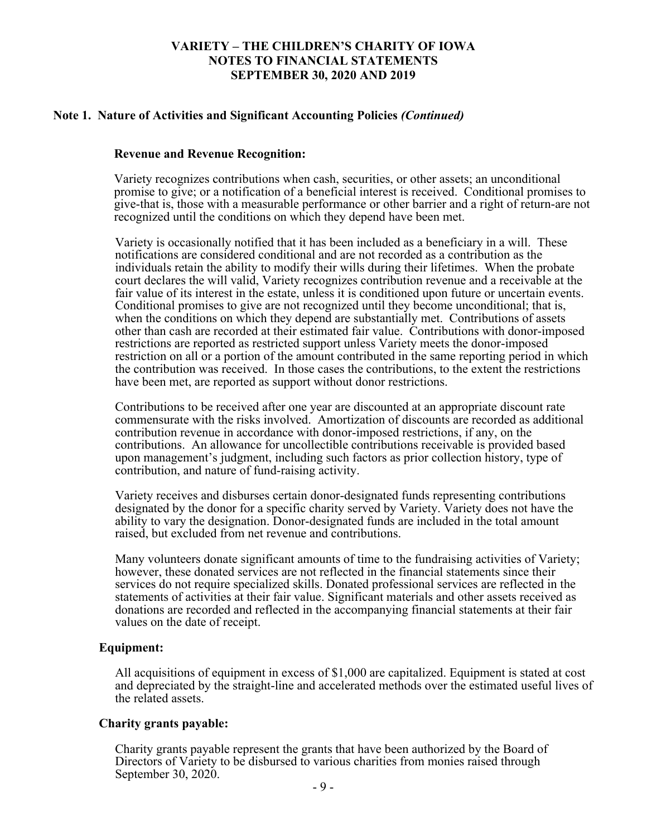### **Note 1. Nature of Activities and Significant Accounting Policies** *(Continued)*

### **Revenue and Revenue Recognition:**

Variety recognizes contributions when cash, securities, or other assets; an unconditional promise to give; or a notification of a beneficial interest is received. Conditional promises to give-that is, those with a measurable performance or other barrier and a right of return-are not recognized until the conditions on which they depend have been met.

Variety is occasionally notified that it has been included as a beneficiary in a will. These notifications are considered conditional and are not recorded as a contribution as the individuals retain the ability to modify their wills during their lifetimes. When the probate court declares the will valid, Variety recognizes contribution revenue and a receivable at the fair value of its interest in the estate, unless it is conditioned upon future or uncertain events. Conditional promises to give are not recognized until they become unconditional; that is, when the conditions on which they depend are substantially met. Contributions of assets other than cash are recorded at their estimated fair value. Contributions with donor-imposed restrictions are reported as restricted support unless Variety meets the donor-imposed restriction on all or a portion of the amount contributed in the same reporting period in which the contribution was received. In those cases the contributions, to the extent the restrictions have been met, are reported as support without donor restrictions.

Contributions to be received after one year are discounted at an appropriate discount rate commensurate with the risks involved. Amortization of discounts are recorded as additional contribution revenue in accordance with donor-imposed restrictions, if any, on the contributions. An allowance for uncollectible contributions receivable is provided based upon management's judgment, including such factors as prior collection history, type of contribution, and nature of fund-raising activity.

Variety receives and disburses certain donor-designated funds representing contributions designated by the donor for a specific charity served by Variety. Variety does not have the ability to vary the designation. Donor-designated funds are included in the total amount raised, but excluded from net revenue and contributions.

Many volunteers donate significant amounts of time to the fundraising activities of Variety; however, these donated services are not reflected in the financial statements since their services do not require specialized skills. Donated professional services are reflected in the statements of activities at their fair value. Significant materials and other assets received as donations are recorded and reflected in the accompanying financial statements at their fair values on the date of receipt.

### **Equipment:**

All acquisitions of equipment in excess of \$1,000 are capitalized. Equipment is stated at cost and depreciated by the straight-line and accelerated methods over the estimated useful lives of the related assets.

### **Charity grants payable:**

Charity grants payable represent the grants that have been authorized by the Board of Directors of Variety to be disbursed to various charities from monies raised through September 30, 2020.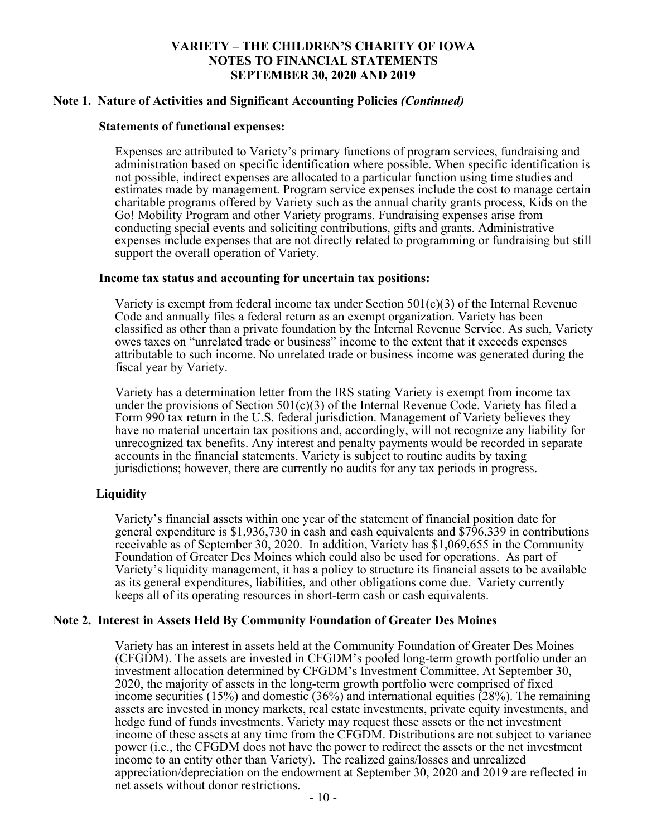### **Note 1. Nature of Activities and Significant Accounting Policies** *(Continued)*

### **Statements of functional expenses:**

Expenses are attributed to Variety's primary functions of program services, fundraising and administration based on specific identification where possible. When specific identification is not possible, indirect expenses are allocated to a particular function using time studies and estimates made by management. Program service expenses include the cost to manage certain charitable programs offered by Variety such as the annual charity grants process, Kids on the Go! Mobility Program and other Variety programs. Fundraising expenses arise from conducting special events and soliciting contributions, gifts and grants. Administrative expenses include expenses that are not directly related to programming or fundraising but still support the overall operation of Variety.

### **Income tax status and accounting for uncertain tax positions:**

Variety is exempt from federal income tax under Section  $501(c)(3)$  of the Internal Revenue Code and annually files a federal return as an exempt organization. Variety has been classified as other than a private foundation by the Internal Revenue Service. As such, Variety owes taxes on "unrelated trade or business" income to the extent that it exceeds expenses attributable to such income. No unrelated trade or business income was generated during the fiscal year by Variety.

Variety has a determination letter from the IRS stating Variety is exempt from income tax under the provisions of Section  $501(c)(3)$  of the Internal Revenue Code. Variety has filed a Form 990 tax return in the U.S. federal jurisdiction. Management of Variety believes they have no material uncertain tax positions and, accordingly, will not recognize any liability for unrecognized tax benefits. Any interest and penalty payments would be recorded in separate accounts in the financial statements. Variety is subject to routine audits by taxing jurisdictions; however, there are currently no audits for any tax periods in progress.

# **Liquidity**

Variety's financial assets within one year of the statement of financial position date for general expenditure is \$1,936,730 in cash and cash equivalents and \$796,339 in contributions receivable as of September 30, 2020. In addition, Variety has \$1,069,655 in the Community Foundation of Greater Des Moines which could also be used for operations. As part of Variety's liquidity management, it has a policy to structure its financial assets to be available as its general expenditures, liabilities, and other obligations come due. Variety currently keeps all of its operating resources in short-term cash or cash equivalents.

### **Note 2. Interest in Assets Held By Community Foundation of Greater Des Moines**

Variety has an interest in assets held at the Community Foundation of Greater Des Moines (CFGDM). The assets are invested in CFGDM's pooled long-term growth portfolio under an investment allocation determined by CFGDM's Investment Committee. At September 30, 2020, the majority of assets in the long-term growth portfolio were comprised of fixed income securities (15%) and domestic (36%) and international equities (28%). The remaining assets are invested in money markets, real estate investments, private equity investments, and hedge fund of funds investments. Variety may request these assets or the net investment income of these assets at any time from the CFGDM. Distributions are not subject to variance power (i.e., the CFGDM does not have the power to redirect the assets or the net investment income to an entity other than Variety). The realized gains/losses and unrealized appreciation/depreciation on the endowment at September 30, 2020 and 2019 are reflected in net assets without donor restrictions.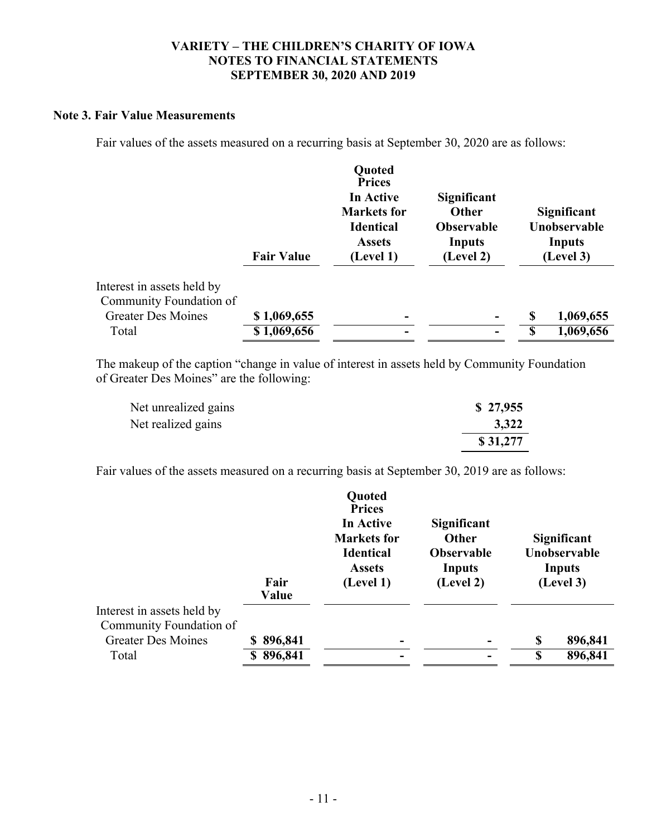### **Note 3. Fair Value Measurements**

Fair values of the assets measured on a recurring basis at September 30, 2020 are as follows:

|                                                       | <b>Fair Value</b> | <b>Quoted</b><br><b>Prices</b><br>In Active<br><b>Markets</b> for<br><b>Identical</b><br><b>Assets</b><br>(Level 1) | Significant<br>Other<br><b>Observable</b><br>Inputs<br>(Level 2) |   | Significant<br><b>Unobservable</b><br>Inputs<br>(Level 3) |
|-------------------------------------------------------|-------------------|---------------------------------------------------------------------------------------------------------------------|------------------------------------------------------------------|---|-----------------------------------------------------------|
| Interest in assets held by<br>Community Foundation of |                   |                                                                                                                     |                                                                  |   |                                                           |
| <b>Greater Des Moines</b>                             | \$1,069,655       |                                                                                                                     |                                                                  | S | 1,069,655                                                 |
| Total                                                 | \$1,069,656       |                                                                                                                     |                                                                  | S | 1,069,656                                                 |

The makeup of the caption "change in value of interest in assets held by Community Foundation of Greater Des Moines" are the following:

| Net unrealized gains | \$27,955 |
|----------------------|----------|
| Net realized gains   | 3,322    |
|                      | \$31,277 |

Fair values of the assets measured on a recurring basis at September 30, 2019 are as follows:

|                            | Fair<br>Value | <b>Quoted</b><br><b>Prices</b><br>In Active<br><b>Markets</b> for<br><b>Identical</b><br><b>Assets</b><br>(Level 1) | Significant<br><b>Other</b><br><b>Observable</b><br>Inputs<br>(Level 2) | Significant<br><b>Unobservable</b><br>Inputs<br>(Level 3) |
|----------------------------|---------------|---------------------------------------------------------------------------------------------------------------------|-------------------------------------------------------------------------|-----------------------------------------------------------|
| Interest in assets held by |               |                                                                                                                     |                                                                         |                                                           |
| Community Foundation of    |               |                                                                                                                     |                                                                         |                                                           |
| <b>Greater Des Moines</b>  | \$896,841     |                                                                                                                     |                                                                         | <sup>\$</sup><br>896,841                                  |
| Total                      | \$896,841     |                                                                                                                     |                                                                         | 896,841<br>S                                              |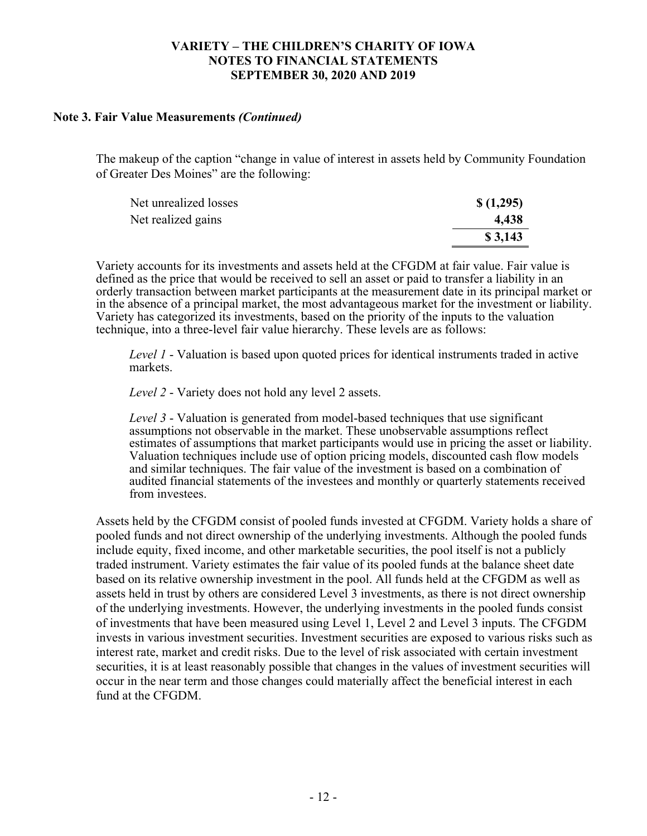### **Note 3. Fair Value Measurements** *(Continued)*

The makeup of the caption "change in value of interest in assets held by Community Foundation of Greater Des Moines" are the following:

| Net unrealized losses | \$(1,295) |
|-----------------------|-----------|
| Net realized gains    | 4,438     |
|                       | \$3,143   |

Variety accounts for its investments and assets held at the CFGDM at fair value. Fair value is defined as the price that would be received to sell an asset or paid to transfer a liability in an orderly transaction between market participants at the measurement date in its principal market or in the absence of a principal market, the most advantageous market for the investment or liability. Variety has categorized its investments, based on the priority of the inputs to the valuation technique, into a three-level fair value hierarchy. These levels are as follows:

*Level 1* - Valuation is based upon quoted prices for identical instruments traded in active markets.

*Level 2* - Variety does not hold any level 2 assets.

*Level 3* - Valuation is generated from model-based techniques that use significant assumptions not observable in the market. These unobservable assumptions reflect estimates of assumptions that market participants would use in pricing the asset or liability. Valuation techniques include use of option pricing models, discounted cash flow models and similar techniques. The fair value of the investment is based on a combination of audited financial statements of the investees and monthly or quarterly statements received from investees.

Assets held by the CFGDM consist of pooled funds invested at CFGDM. Variety holds a share of pooled funds and not direct ownership of the underlying investments. Although the pooled funds include equity, fixed income, and other marketable securities, the pool itself is not a publicly traded instrument. Variety estimates the fair value of its pooled funds at the balance sheet date based on its relative ownership investment in the pool. All funds held at the CFGDM as well as assets held in trust by others are considered Level 3 investments, as there is not direct ownership of the underlying investments. However, the underlying investments in the pooled funds consist of investments that have been measured using Level 1, Level 2 and Level 3 inputs. The CFGDM invests in various investment securities. Investment securities are exposed to various risks such as interest rate, market and credit risks. Due to the level of risk associated with certain investment securities, it is at least reasonably possible that changes in the values of investment securities will occur in the near term and those changes could materially affect the beneficial interest in each fund at the CFGDM.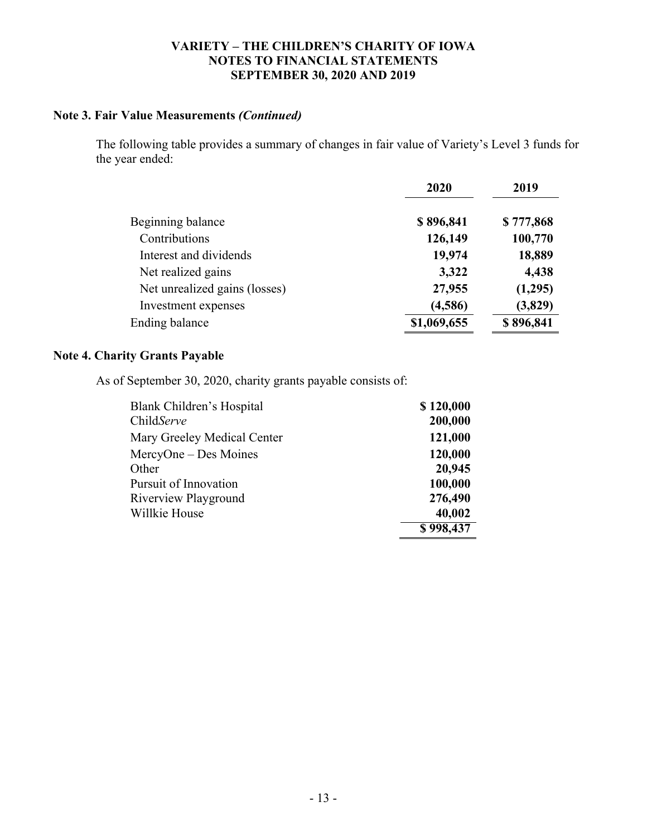# **Note 3. Fair Value Measurements** *(Continued)*

The following table provides a summary of changes in fair value of Variety's Level 3 funds for the year ended:

|                               | 2020        | 2019      |
|-------------------------------|-------------|-----------|
| Beginning balance             | \$896,841   | \$777,868 |
| Contributions                 | 126,149     | 100,770   |
| Interest and dividends        | 19,974      | 18,889    |
| Net realized gains            | 3,322       | 4,438     |
| Net unrealized gains (losses) | 27,955      | (1,295)   |
| Investment expenses           | (4,586)     | (3,829)   |
| Ending balance                | \$1,069,655 | \$896,841 |

# **Note 4. Charity Grants Payable**

As of September 30, 2020, charity grants payable consists of:

| Blank Children's Hospital   | \$120,000 |
|-----------------------------|-----------|
| ChildServe                  | 200,000   |
| Mary Greeley Medical Center | 121,000   |
| MercyOne – Des Moines       | 120,000   |
| Other                       | 20,945    |
| Pursuit of Innovation       | 100,000   |
| Riverview Playground        | 276,490   |
| Willkie House               | 40,002    |
|                             | \$998,437 |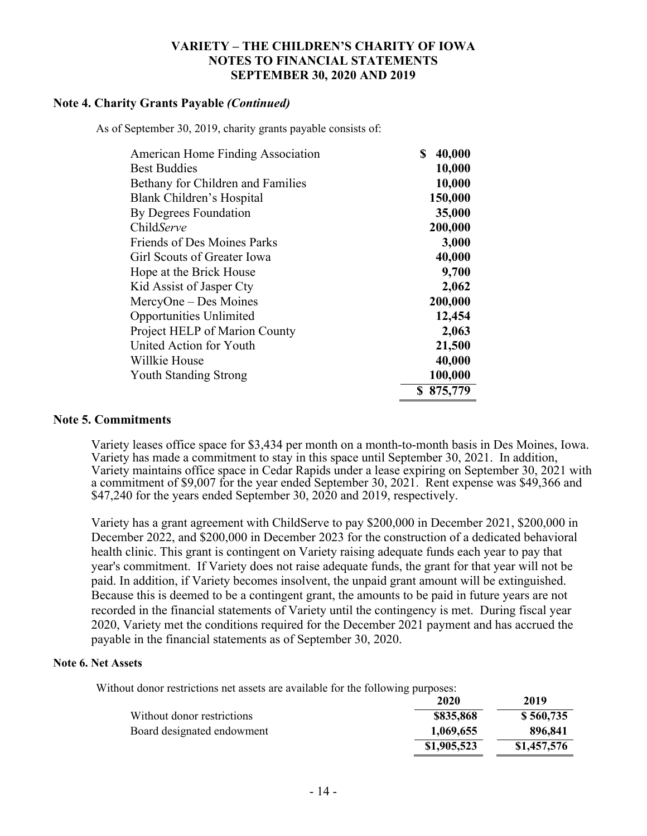### **Note 4. Charity Grants Payable** *(Continued)*

As of September 30, 2019, charity grants payable consists of:

| American Home Finding Association | 40,000<br>S |
|-----------------------------------|-------------|
| <b>Best Buddies</b>               | 10,000      |
| Bethany for Children and Families | 10,000      |
| Blank Children's Hospital         | 150,000     |
| By Degrees Foundation             | 35,000      |
| ChildServe                        | 200,000     |
| Friends of Des Moines Parks       | 3,000       |
| Girl Scouts of Greater Iowa       | 40,000      |
| Hope at the Brick House           | 9,700       |
| Kid Assist of Jasper Cty          | 2,062       |
| MercyOne – Des Moines             | 200,000     |
| Opportunities Unlimited           | 12,454      |
| Project HELP of Marion County     | 2,063       |
| United Action for Youth           | 21,500      |
| Willkie House                     | 40,000      |
| <b>Youth Standing Strong</b>      | 100,000     |
|                                   | \$875,779   |

### **Note 5. Commitments**

Variety leases office space for \$3,434 per month on a month-to-month basis in Des Moines, Iowa. Variety has made a commitment to stay in this space until September 30, 2021. In addition, Variety maintains office space in Cedar Rapids under a lease expiring on September 30, 2021 with a commitment of \$9,007 for the year ended September 30, 2021. Rent expense was \$49,366 and \$47,240 for the years ended September 30, 2020 and 2019, respectively.

Variety has a grant agreement with ChildServe to pay \$200,000 in December 2021, \$200,000 in December 2022, and \$200,000 in December 2023 for the construction of a dedicated behavioral health clinic. This grant is contingent on Variety raising adequate funds each year to pay that year's commitment. If Variety does not raise adequate funds, the grant for that year will not be paid. In addition, if Variety becomes insolvent, the unpaid grant amount will be extinguished. Because this is deemed to be a contingent grant, the amounts to be paid in future years are not recorded in the financial statements of Variety until the contingency is met. During fiscal year 2020, Variety met the conditions required for the December 2021 payment and has accrued the payable in the financial statements as of September 30, 2020.

#### **Note 6. Net Assets**

Without donor restrictions net assets are available for the following purposes:

|                            | 2020        | 2019        |
|----------------------------|-------------|-------------|
| Without donor restrictions | \$835,868   | \$560,735   |
| Board designated endowment | 1,069,655   | 896,841     |
|                            | \$1,905,523 | \$1,457,576 |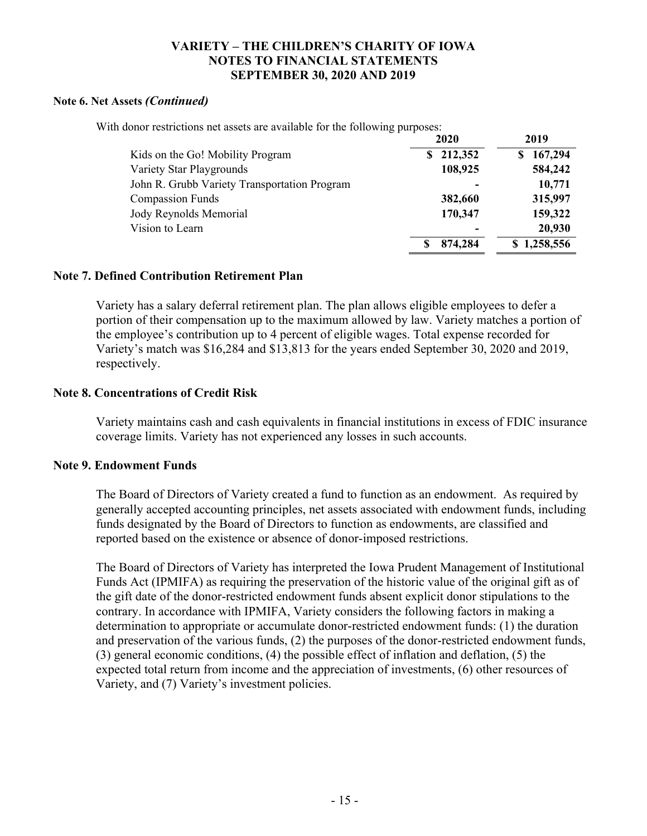### **Note 6. Net Assets** *(Continued)*

| $\ldots$ . The models $\ldots$ and $\ldots$ . The contract $\ldots$ is a set $\ldots$ in $\ldots$ | 2020          | 2019         |
|---------------------------------------------------------------------------------------------------|---------------|--------------|
| Kids on the Go! Mobility Program                                                                  | 212,352<br>S. | 167,294<br>S |
| Variety Star Playgrounds                                                                          | 108,925       | 584,242      |
| John R. Grubb Variety Transportation Program                                                      |               | 10,771       |
| <b>Compassion Funds</b>                                                                           | 382,660       | 315,997      |
| Jody Reynolds Memorial                                                                            | 170,347       | 159,322      |
| Vision to Learn                                                                                   |               | 20,930       |
|                                                                                                   | 874,284       | \$1,258,556  |

With donor restrictions net assets are available for the following purposes:

# **Note 7. Defined Contribution Retirement Plan**

Variety has a salary deferral retirement plan. The plan allows eligible employees to defer a portion of their compensation up to the maximum allowed by law. Variety matches a portion of the employee's contribution up to 4 percent of eligible wages. Total expense recorded for Variety's match was \$16,284 and \$13,813 for the years ended September 30, 2020 and 2019, respectively.

# **Note 8. Concentrations of Credit Risk**

Variety maintains cash and cash equivalents in financial institutions in excess of FDIC insurance coverage limits. Variety has not experienced any losses in such accounts.

### **Note 9. Endowment Funds**

The Board of Directors of Variety created a fund to function as an endowment. As required by generally accepted accounting principles, net assets associated with endowment funds, including funds designated by the Board of Directors to function as endowments, are classified and reported based on the existence or absence of donor-imposed restrictions.

The Board of Directors of Variety has interpreted the Iowa Prudent Management of Institutional Funds Act (IPMIFA) as requiring the preservation of the historic value of the original gift as of the gift date of the donor-restricted endowment funds absent explicit donor stipulations to the contrary. In accordance with IPMIFA, Variety considers the following factors in making a determination to appropriate or accumulate donor-restricted endowment funds: (1) the duration and preservation of the various funds, (2) the purposes of the donor-restricted endowment funds, (3) general economic conditions, (4) the possible effect of inflation and deflation, (5) the expected total return from income and the appreciation of investments, (6) other resources of Variety, and (7) Variety's investment policies.